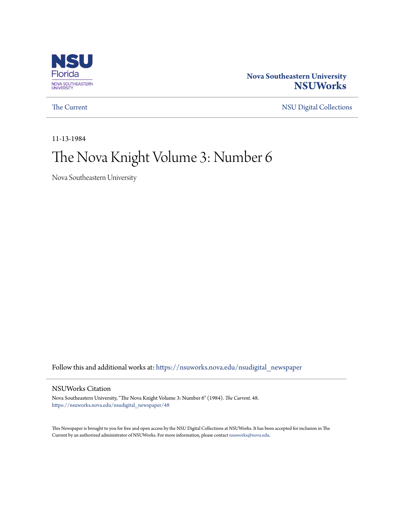

#### **Nova Southeastern University [NSUWorks](https://nsuworks.nova.edu?utm_source=nsuworks.nova.edu%2Fnsudigital_newspaper%2F48&utm_medium=PDF&utm_campaign=PDFCoverPages)**

[The Current](https://nsuworks.nova.edu/nsudigital_newspaper?utm_source=nsuworks.nova.edu%2Fnsudigital_newspaper%2F48&utm_medium=PDF&utm_campaign=PDFCoverPages) [NSU Digital Collections](https://nsuworks.nova.edu/nsudigital?utm_source=nsuworks.nova.edu%2Fnsudigital_newspaper%2F48&utm_medium=PDF&utm_campaign=PDFCoverPages)

11-13-1984

### The Nova Knight Volume 3: Number 6

Nova Southeastern University

Follow this and additional works at: [https://nsuworks.nova.edu/nsudigital\\_newspaper](https://nsuworks.nova.edu/nsudigital_newspaper?utm_source=nsuworks.nova.edu%2Fnsudigital_newspaper%2F48&utm_medium=PDF&utm_campaign=PDFCoverPages)

#### NSUWorks Citation

Nova Southeastern University, "The Nova Knight Volume 3: Number 6" (1984). *The Current*. 48. [https://nsuworks.nova.edu/nsudigital\\_newspaper/48](https://nsuworks.nova.edu/nsudigital_newspaper/48?utm_source=nsuworks.nova.edu%2Fnsudigital_newspaper%2F48&utm_medium=PDF&utm_campaign=PDFCoverPages)

This Newspaper is brought to you for free and open access by the NSU Digital Collections at NSUWorks. It has been accepted for inclusion in The Current by an authorized administrator of NSUWorks. For more information, please contact [nsuworks@nova.edu.](mailto:nsuworks@nova.edu)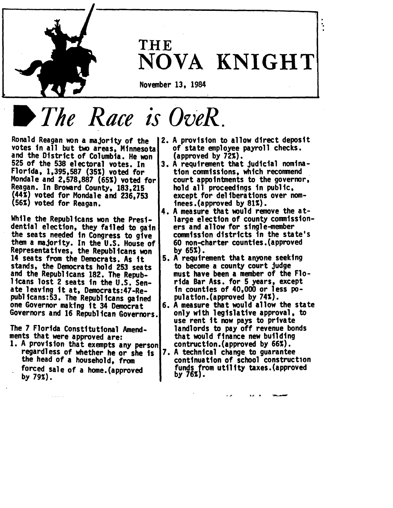

## **THE** NOVA. KNIGHT

..

November 13, 1984

# *The Roce is* OveR.

votes in all but two areas, Minnesota of state employee<br>and the District of Columbia. He won (approved by 72%). Reagan. In Broward County, 183,215 hold all proceedings in public,<br>(44%) voted for Mondale and 236,753 except for deliberations over nom-<br>(56%) voted for Reagan. inees. (approved by 81%).

While the Republicans won the Presi-  $\vert$  large election of county commission-<br>dential election, they failed to gain ers and allow for single-member Representatives, the Republicans won<br>
14 seats from the Democrats. As it<br>
stands, the Democrats hold 253 seats<br>
and the Republicans 182. The Repub-<br>
licans lost 2 seats in the U.S. Sen-<br>
Tida Bar Ass. for 5 years, except<br> licans lost 2 seats in the U.S. Sen- rida Bar Ass. for 5 years, except<br>ate leaving it at, Democrats:47-Re- in counties of 40,000 or less popublicans:53. The Republicans gained | pulation.(approved by 74%).<br>one Governor making it 34 Democrat | 6. A measure that would allow

forced sale of a home.(approved funds from utility 79%).

- Ronald Reagan won a majority of the 2. A provision to allow direct deposit<br>votes in all but two areas. Minnesotal of state employee payroll checks.
- 525 of the 538 electoral votes. In  $\begin{array}{|l|} 3.$  A requirement that judicial nomina-<br>Florida, 1,395,587 (35%) voted for tion commissions, which recommend Florida, 1,395,587 (35%) voted for<br>Mondale and 2,578,887 (65%) voted for court appointments to the governor,
- 4. A measure that would remove the at-<br>- large election of county commissiondential election, they failed to gain ers and allow for single-member<br>the seats needed in Congress to give commission districts in the state's<br>them a majority. In the U.S. House of 60 non-charter counties. (approved
	-
- 6. A measure that would allow the state<br>only with legislative approval, to Governors and 16 Republican Governors. only with legislative approval,<br>use rent it now pays to private The 7 Florida Constitutional Amend- landlords to pay off revenue bonds<br>ments that were approved are: land that would finance new building ments that were approved are:<br>1. A provision that exempts any person contruction. (approved by 66%).
	- regardless of whether he or she is 7. A technical change to guarantee<br>the head of a household, from continuation of school construction<br>forced sale of a home (approved funds from utility taxes. (approved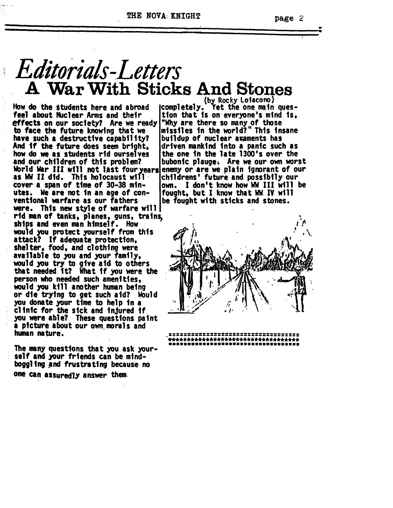# *Editorials-Letters*<br>**A War With Sticks And Stones**

How do the students here and abroad (completely. Yet the one main ques-<br>feel about Nuclear Arms and their tion that is on everyone's mind is, feel about Nuclear Arms and their<br>effects on our society? Are we ready "Why are there so many of those<br>to face the future knowing that we | missiles in the world?" This insane have such a destructive capability?<br>And if the future does seem bright, And if the future does seem bright, |driven mankind into a panic such as<br>how do we as students rid ourselves lthe one in the late 1300's over the how do we as students rid ourselves (the one in the late 1300's over the<br>and our children of this problem? (bubonic plauge. Are we our own wor torld War III will not last fouryears<br>as WW II did. This holocaust will as WW II did. This holocaust will |childrens' future and possibily our<br>cover a span of time of 30-38 min- |own. I don't know how WW III will | cover a span of time of 30-38 min- own. I don't know how WW III will be utes. We are not in an age of con- | fought, but I know that WW. IV will<br>ventional warfare as our fathers | be fought with sticks and stones. were. This new style of warfare will rid man of tanks, planes, guns, trains, ships and even man himself. How would you protect yourself from this attack? If adequate protection,<br>shelter, food, and clothing were<br>available to you and your family, would you try to give aid to others that needed it? What if you were the person who needed such amenittes, would you kill another human being or die trying to get such aid? WOuld you donate your time to help in a clinic for the sick and injured if you were able? These questions paint a ptcture a&out our own. moralsand human nature. '

The many questions that you ask your-<br>self and your friends can be mindboggling and frustrating because no one can aSsuredlY answer them.

(by. Rocky Loiacono) missiles in the world?" This insane<br>buildup of nuclear araments has bubonic plauge. Are we our own worst<br>enemy or are we plain ignorant of our be fought with sticks and stones.





•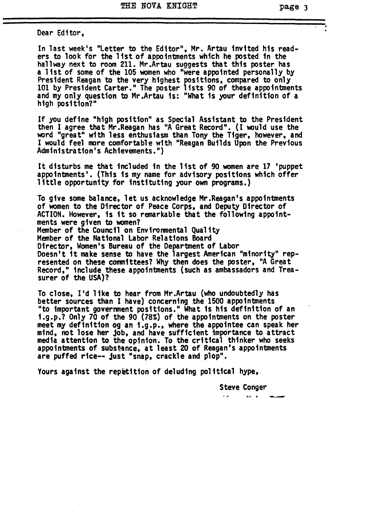Dear Editor,

In last week's "Letter to the Editor", Mr. Artau invited his readers to look for the 1ist of appointments which he posted in the hallway next to room 211. Mr.Artau suggests that this poster has a 1ist of some of the 105 women who "were appointed personally by President Reagan to the very highest positions, compared to only 101 by President Carter." The poster lists 90 of these appointments and my only question to Mr.Artau is: "What is your definition of a high position?"

If you define "high position" as Special Assistant to the President then I agree that Mr. Reagan has "A Great Record". (I would use the word "great" with less enthusiasm than Tony the Tiger, however, and I would feel more comfortable with "Reagan Builds Upon the Previous Administra tion's Achievements.")

It disturbs me that included in the list of <sup>90</sup> women are <sup>17</sup> 'puppet appointments'. (This is my name for advisory positions which offer little opportunity for instituting your own programs.)

To give some balance, let us acknowledge Mr.Reagan's appointments of women to the Director of Peace Corps, and Deputy Director of ACTION. However, is it so remarkable that the following appointments were given to women? Member of the Council on Environmental Quality Member of the National Labor Relations Board Director, Women's Bureau of the Department of Labor Doesn't it make sense to have the largest American "minority" represented on these committees? Why then does the poster, "A Great Record," include these appointments (such as ambassadors and Treasurer of the USA)?

To close, I'd like to hear from Mr.Artau (who undoubtedly has better sources than I have) concerning the 1500 appointments "to important government positions." What is his definition of an i.g.p.? Only 70 of the 90 (78%) of the appointments on the poster meet my definition og an i.g.p., where the appointee can speak her mind, not lose her job, and have sufficient importance to attract media attention to the opinion. To the critical thinker who seeks appointments of substance, at least 20 of Reagan's appointments are puffed rice-- just "snap, crackle and plop".

Yours against the repetition of deluding political hype,

Steve Conger

 $\mathbf{r}$ **KANSING**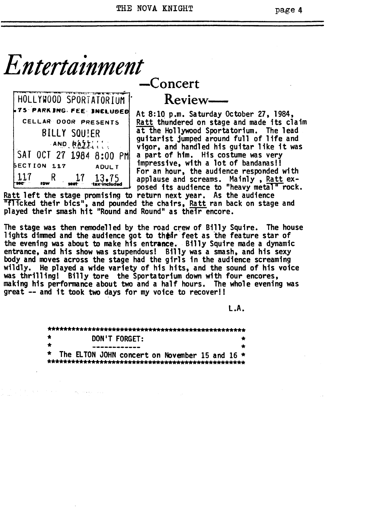*Entertainment*

|           |                    |                     | HOLLYWOOD SPORTATORIUM   |  |
|-----------|--------------------|---------------------|--------------------------|--|
|           |                    |                     | 75 PARK ING FEE INCLUDED |  |
|           |                    |                     | CELLAR DOOR PRESENTS     |  |
|           |                    | <b>BILLY SQUIER</b> |                          |  |
| AND RAIL! |                    |                     |                          |  |
|           |                    |                     | SAT OCT 27 1984 8:00 PM  |  |
|           | <b>BECTION 117</b> |                     | <b>ADULT</b>             |  |
|           | ĸ                  | 1.7                 | $13.75$<br>tax-included  |  |

-Concert

Review-

At 8:10 p.m. Saturday October 27, 1984, Ratt thundered on stage and made its claim at the Hollywood Sportatorium. The lead guitarist jumped around full of life and vigor, and handled his guitar like it was a part of him. His costume was very impressive, with a lot of bandanas!! For an hour, the audience responded with applause and screams. Mainly, Ratt ex-<br>posed its audience to "heavy metal" rock.

Ratt 1eft the stage promising to return next year. As the audience "flicked their bics", and pounded the chairs, Ratt ran back on stage and played their smash hit "Round and Round" as their encore.

The stage was then remodelled by the road crew of Billy Squire. The house lights dimmed and the audience got to thear feet as the feature star of the evening was about to make his entrance. Billy Squire made a dynamic<br>entrance, and his show was stupendous! Billy was a smash, and his sexy body and moves across the stage had the girls in the audience screaming<br>wildly. He played a wide variety of his hits, and the sound of his voice was thrilling! Billy tore the Sportatorium down with four encores, making his performance about two and a half hours. The whole evening was great -- and it took two days for my voice to recover!!

L.A.

| ÷ | DON'T FORGET:                                    |  |
|---|--------------------------------------------------|--|
|   |                                                  |  |
|   | * The ELTON JOHN concert on November 15 and 16 * |  |
|   |                                                  |  |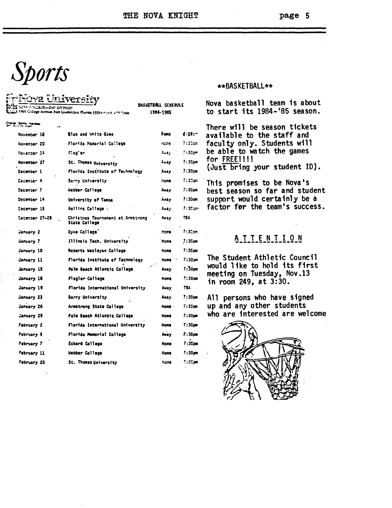THE NOVA KNIGHT

#### page 5

# Sports

| taran Sorry Harsley<br>T. B. T. Caller<br>Blue and White Game<br>November 16<br>Florida Mamorial College<br>November 20<br>Novamber 24<br>Fiad`er<br>November 27<br>St. Thomas University<br>Cecember 1<br>Florida Institute of Technology<br>December 4<br>Barry University<br><b>December 7</b><br>Webber College<br>December 14<br>University of Tampa<br>December 15<br>Rollins Callege . |        | <b>BASKETBALL SCHEDVLE</b><br>3301 College Avenue, Fort Lauderdale, Florida 33314 9 505-475-7500<br>1984-1985 |  |
|-----------------------------------------------------------------------------------------------------------------------------------------------------------------------------------------------------------------------------------------------------------------------------------------------------------------------------------------------------------------------------------------------|--------|---------------------------------------------------------------------------------------------------------------|--|
|                                                                                                                                                                                                                                                                                                                                                                                               |        |                                                                                                               |  |
|                                                                                                                                                                                                                                                                                                                                                                                               | Home   | E:DD:7                                                                                                        |  |
|                                                                                                                                                                                                                                                                                                                                                                                               | Haze   | 7:30cm                                                                                                        |  |
|                                                                                                                                                                                                                                                                                                                                                                                               | Away   | $7:30$ om                                                                                                     |  |
|                                                                                                                                                                                                                                                                                                                                                                                               | Away   | 7 : 30am                                                                                                      |  |
|                                                                                                                                                                                                                                                                                                                                                                                               | Away   | $7:30$ pm                                                                                                     |  |
|                                                                                                                                                                                                                                                                                                                                                                                               | Home.  | 7:30an                                                                                                        |  |
|                                                                                                                                                                                                                                                                                                                                                                                               | Away   | 7:30pm                                                                                                        |  |
|                                                                                                                                                                                                                                                                                                                                                                                               | Away   | $7:30$ om                                                                                                     |  |
|                                                                                                                                                                                                                                                                                                                                                                                               | Anay   | 7:30am                                                                                                        |  |
| <b>Cecember 27-28</b><br>Christmas Tournament at Armstrong<br>State College                                                                                                                                                                                                                                                                                                                   | Away   | TBA                                                                                                           |  |
| Dyke College'<br>January Z                                                                                                                                                                                                                                                                                                                                                                    | Home   | 7:3Ccm                                                                                                        |  |
| January 7<br>Illinois Tech. University                                                                                                                                                                                                                                                                                                                                                        | Home   | $7:3$ Cpm                                                                                                     |  |
| Roberts Wesleyan College<br>January 10                                                                                                                                                                                                                                                                                                                                                        | Home   | 7 : 30 pm                                                                                                     |  |
| January 11<br>Florida Institute of Technology                                                                                                                                                                                                                                                                                                                                                 | Home   | 7:30am                                                                                                        |  |
| Palm Beach Atlantic College<br>January 15                                                                                                                                                                                                                                                                                                                                                     | Away   | 7:30 <sub>pm</sub>                                                                                            |  |
| January 18<br>Flagler College                                                                                                                                                                                                                                                                                                                                                                 | Home   | $7:30$ om                                                                                                     |  |
| January 19<br>Florida International University                                                                                                                                                                                                                                                                                                                                                | Away   | T3A                                                                                                           |  |
| January 23<br>Barry University                                                                                                                                                                                                                                                                                                                                                                | Away   | 7:30 pm                                                                                                       |  |
| January 26<br>Armstrong State College                                                                                                                                                                                                                                                                                                                                                         | Home - | 7:30pm                                                                                                        |  |
| January 29<br>Palm Beach Atlantic College                                                                                                                                                                                                                                                                                                                                                     | Home   | 7:30pm                                                                                                        |  |
| February 2<br>Florida International University                                                                                                                                                                                                                                                                                                                                                | Home   | 7 : 30 pm                                                                                                     |  |
| February 5<br>Florida Memorial College                                                                                                                                                                                                                                                                                                                                                        | Away   | $7:30$ om                                                                                                     |  |
| February 7<br>Eckerd College                                                                                                                                                                                                                                                                                                                                                                  | Hame   | 7 : 30 pm                                                                                                     |  |
| February 11<br>Webber College                                                                                                                                                                                                                                                                                                                                                                 | Hame   | 7 : 30 pm                                                                                                     |  |
| February 20<br>St. Thomas University                                                                                                                                                                                                                                                                                                                                                          |        |                                                                                                               |  |

#### \*\*BASKETBALL\*\*

Nova basketball team is about to start its 1984-'85 season.

There will be season tickets available to the staff and faculty only. Students will be able to watch the games for FREE!!!!  $(Just bring your student ID).$ 

This promises to be Nova's best season so far and student support would certainly be a factor for the team's success.

#### ATTENTION

The Student Athletic Council would like to hold its first meeting on Tuesday, Nov.13 in room 249, at 3:30.

All persons who have signed up and any other students who are interested are welcome

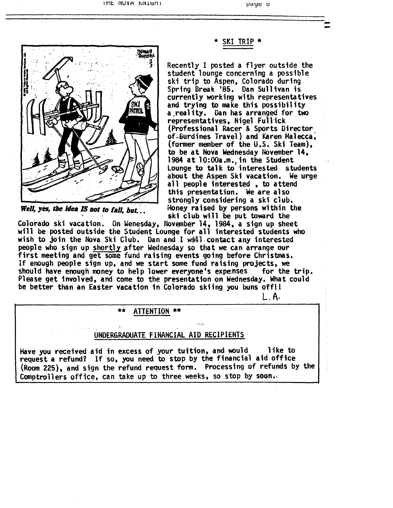

-- \* SKI TRIP' \*

Recently I posted a flyer outside the<br>student lounge concerning a possible ski trip to Aspen, Colorado during<br>Spring Break '85. Dan Sullivan is<br>currently working with representatives and trying to make this possibility a .rea1 ity. Dan has arranged for two representatives, Nigel Fu11ick (Professional Racer & Sports Director of~6urdines Travel) and Karen Ma1ecca; (former member of the U.S. Ski Team), to be at Nova Wednesday November 14, 1984 at 10:00a.m., in the Student Lounge to talk to interested students about the Aspen Ski vacation. We urge<br>all people interested , to attend this presentation. We are also strongly considering a ski club.<br>Money raised by persons within the Weil~ yes, tbe *Idea IS* lIot to faD, bllt.:. i~lo ney ra <sup>i</sup> s~d by persons wi thin the . . " . I'ki club wl11 be put toward the

Colorado ski vacation. On Wenesday, November 14, 1984, a sign up sheet will be posted outside the Student Lounge for all interested students who wish to join the Nova Ski Club. Dan and I wwill contact any interested people who sign up <u>shortly</u> after Wednesday so that we can arrange our first meeting and get some fund raising events going before Christmas. If enough people sign up, and we start some fund raising projects, we should have enough money to help lower everyone's expenses for the trip.<br>Please get involved, and come to the presentation on Wednesday. What could be better than an Easter vacation in Colorado skiing you buns off!!

L. A·

#### ATTENTION \*\*

#### UNDERGRADUATE FINANCIAL AID RECIPIENTS

Have you received aid in excess of your tuition, and would like to request a refund? If so, you need to stop by the financial aid office (Room 225), and sign the refund request form. Processing of refunds by the Comptrollers office, can take up to three weeks, so stop by soon.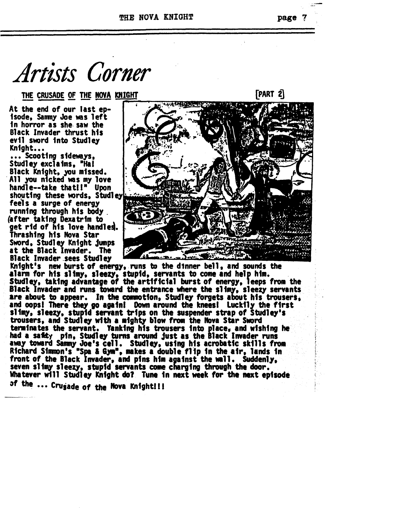Artists Corner

THE CRUSADE OF THE NOVA KNIGHT

At the end of our last episode, Sammy Joe was left in horror as she saw the Black Invader thrust his evil sword into Studley Knight...

... Scooting sideways, Studley exclaims. "Ha! Black Knight, you missed.<br>All you nicked was my love<br>handle--take that!!" Upon shouting these words, Studley feels a surge of energy running through his body (after taking Dexatrim to get rid of his love handles. Thrashing his Nova Star Sword, Studley Knight jumps at the Black Invader. The **Black Invader sees Studley** 

Knight's new burst of energy, runs to the dinner bell, and sounds the alarm for his slimy, sleezy, stupid, servants to come and help him.<br>Studley, taking advantage of the artificial burst of energy, leeps from the Black Invader and runs toward the entrance where the slimy, sleezy servants are about to appear. In the commotion, Studley forgets about his trousers. and oops! There they go again! Down around the knees! Luckily the first slimy, sleezy, stupid servant trips on the suspender strap of Studley's trousers, and Studley with a mighty blow from the Nova Star Sword terminates the servant. Yanking his trousers into place, and wishing he had a safety pin, Studiey turns around just as the Black Invader runs away toward Sammy Joe's cell. Studley, using his acrobatic skills from Richard Simmon's "Spa & Gym", makes a double flip in the air, lands in front of the Black Invader, and pins him against the wall. Suddenly, seven slimy sleezy, stupid servants come charging through the door. Whatever will Studley Knight do? Tune in next week for the next episode of the ... Crugade of the Nova Knight!!!

page 7

[PART 2]